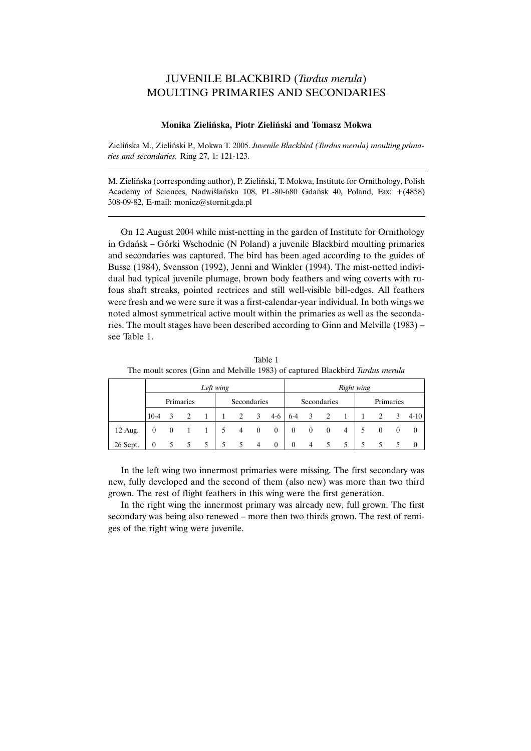## JUVENILE BLACKBIRD (Turdus merula) MOULTING PRIMARIES AND SECONDARIES

## Monika Zieliñska, Piotr Zieliñski and Tomasz Mokwa

Zieliñska M., Zieliñski P., Mokwa T. 2005. Juvenile Blackbird (Turdus merula) moulting primaries and secondaries. Ring 27, 1: 121-123.

M. Zieliñska (corresponding author), P. Zieliñski, T. Mokwa, Institute for Ornithology, Polish Academy of Sciences, Nadwilañska 108, PL-80-680 Gdañsk 40, Poland, Fax: +(4858) 308-09-82, E-mail: monicz@stornit.gda.pl

On 12 August 2004 while mist-netting in the garden of Institute for Ornithology in Gdañsk Górki Wschodnie (N Poland) a juvenile Blackbird moulting primaries and secondaries was captured. The bird has been aged according to the guides of Busse (1984), Svensson (1992), Jenni and Winkler (1994). The mist-netted individual had typical juvenile plumage, brown body feathers and wing coverts with rufous shaft streaks, pointed rectrices and still well-visible bill-edges. All feathers were fresh and we were sure it was a first-calendar-year individual. In both wings we noted almost symmetrical active moult within the primaries as well as the secondaries. The moult stages have been described according to Ginn and Melville (1983) see Table 1.

|          | Left wing |  |   |   |             |                |              |              | Right wing   |                |              |   |           |          |   |          |
|----------|-----------|--|---|---|-------------|----------------|--------------|--------------|--------------|----------------|--------------|---|-----------|----------|---|----------|
|          | Primaries |  |   |   | Secondaries |                |              |              | Secondaries  |                |              |   | Primaries |          |   |          |
|          | $10-4$    |  |   |   |             | 2              | 3            | $4-6$        | $6 - 4$      | 3              | 2            | 1 |           |          | 3 | $4-10$   |
| 12 Aug.  | 0         |  |   |   | 5           | $\overline{4}$ | $\mathbf{0}$ | $\mathbf{0}$ | $\bf{0}$     | $\bf{0}$       | $\mathbf{0}$ | 4 |           | $\theta$ |   | $\theta$ |
| 26 Sept. | 0         |  | 5 | 5 | 5           | 5              | 4            | $\theta$     | $\mathbf{0}$ | $\overline{4}$ | 5.           | 5 |           |          |   |          |

Table 1 The moult scores (Ginn and Melville 1983) of captured Blackbird Turdus merula

In the left wing two innermost primaries were missing. The first secondary was new, fully developed and the second of them (also new) was more than two third grown. The rest of flight feathers in this wing were the first generation.

In the right wing the innermost primary was already new, full grown. The first secondary was being also renewed – more then two thirds grown. The rest of remiges of the right wing were juvenile.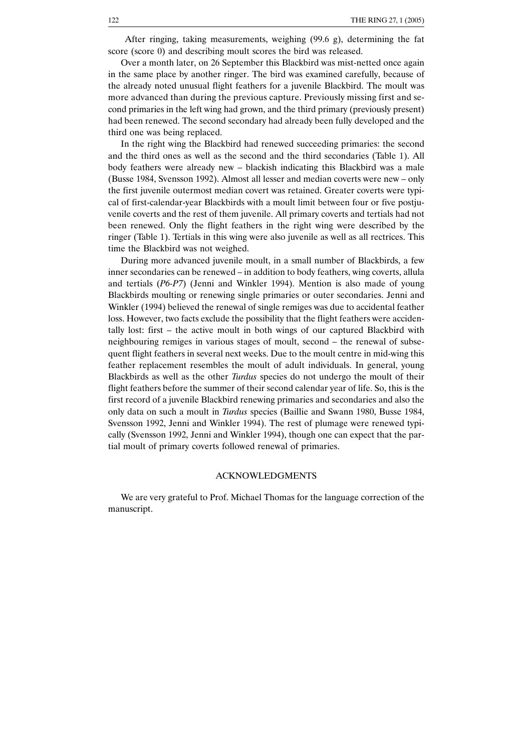After ringing, taking measurements, weighing (99.6 g), determining the fat score (score 0) and describing moult scores the bird was released.

Over a month later, on 26 September this Blackbird was mist-netted once again in the same place by another ringer. The bird was examined carefully, because of the already noted unusual flight feathers for a juvenile Blackbird. The moult was more advanced than during the previous capture. Previously missing first and second primaries in the left wing had grown, and the third primary (previously present) had been renewed. The second secondary had already been fully developed and the third one was being replaced.

In the right wing the Blackbird had renewed succeeding primaries: the second and the third ones as well as the second and the third secondaries (Table 1). All body feathers were already new blackish indicating this Blackbird was a male (Busse 1984, Svensson 1992). Almost all lesser and median coverts were new – only the first juvenile outermost median covert was retained. Greater coverts were typical of first-calendar-year Blackbirds with a moult limit between four or five postjuvenile coverts and the rest of them juvenile. All primary coverts and tertials had not been renewed. Only the flight feathers in the right wing were described by the ringer (Table 1). Tertials in this wing were also juvenile as well as all rectrices. This time the Blackbird was not weighed.

During more advanced juvenile moult, in a small number of Blackbirds, a few inner secondaries can be renewed – in addition to body feathers, wing coverts, allula and tertials (P6-P7) (Jenni and Winkler 1994). Mention is also made of young Blackbirds moulting or renewing single primaries or outer secondaries. Jenni and Winkler (1994) believed the renewal of single remiges was due to accidental feather loss. However, two facts exclude the possibility that the flight feathers were accidentally lost: first  $-$  the active moult in both wings of our captured Blackbird with neighbouring remiges in various stages of moult, second - the renewal of subsequent flight feathers in several next weeks. Due to the moult centre in mid-wing this feather replacement resembles the moult of adult individuals. In general, young Blackbirds as well as the other Turdus species do not undergo the moult of their flight feathers before the summer of their second calendar year of life. So, this is the first record of a juvenile Blackbird renewing primaries and secondaries and also the only data on such a moult in Turdus species (Baillie and Swann 1980, Busse 1984, Svensson 1992, Jenni and Winkler 1994). The rest of plumage were renewed typically (Svensson 1992, Jenni and Winkler 1994), though one can expect that the partial moult of primary coverts followed renewal of primaries.

## ACKNOWLEDGMENTS

We are very grateful to Prof. Michael Thomas for the language correction of the manuscript.